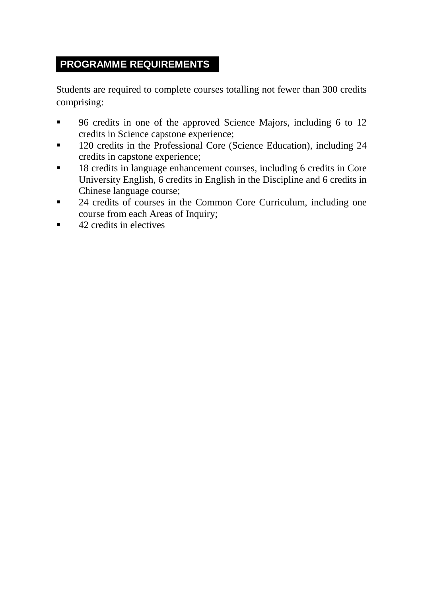## **PROGRAMME REQUIREMENTS**

Students are required to complete courses totalling not fewer than 300 credits comprising:

- 96 credits in one of the approved Science Majors, including 6 to 12 credits in Science capstone experience;
- <sup>120</sup> credits in the Professional Core (Science Education), including 24 credits in capstone experience;
- <sup>18</sup> credits in language enhancement courses, including 6 credits in Core University English, 6 credits in English in the Discipline and 6 credits in Chinese language course;
- <sup>24</sup> credits of courses in the Common Core Curriculum, including one course from each Areas of Inquiry;
- $\blacksquare$  42 credits in electives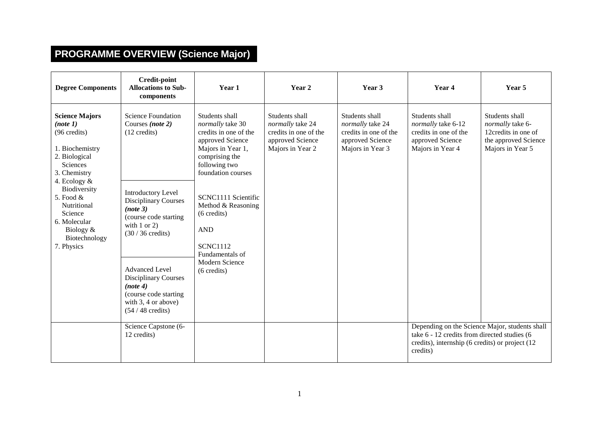## **PROGRAMME OVERVIEW (Science Major)**

| <b>Degree Components</b>                                                                                                                                                                                                                                    | <b>Credit-point</b><br><b>Allocations to Sub-</b><br>components                                                                                                                                                                                                                                                                                                                | Year 1                                                                                                                                                                                                                                                                                                                   | Year 2                                                                                              | Year 3                                                                                              | Year 4                                                                                                                                                        | Year 5                                                                                                |
|-------------------------------------------------------------------------------------------------------------------------------------------------------------------------------------------------------------------------------------------------------------|--------------------------------------------------------------------------------------------------------------------------------------------------------------------------------------------------------------------------------------------------------------------------------------------------------------------------------------------------------------------------------|--------------------------------------------------------------------------------------------------------------------------------------------------------------------------------------------------------------------------------------------------------------------------------------------------------------------------|-----------------------------------------------------------------------------------------------------|-----------------------------------------------------------------------------------------------------|---------------------------------------------------------------------------------------------------------------------------------------------------------------|-------------------------------------------------------------------------------------------------------|
| <b>Science Majors</b><br>(note 1)<br>(96 credits)<br>1. Biochemistry<br>2. Biological<br>Sciences<br>3. Chemistry<br>4. Ecology $\&$<br>Biodiversity<br>5. Food $&$<br>Nutritional<br>Science<br>6. Molecular<br>Biology $&$<br>Biotechnology<br>7. Physics | <b>Science Foundation</b><br>Courses (note 2)<br>$(12 \text{ credits})$<br><b>Introductory Level</b><br><b>Disciplinary Courses</b><br>(note 3)<br>(course code starting<br>with $1$ or $2$ )<br>$(30/36 \text{ credits})$<br><b>Advanced Level</b><br><b>Disciplinary Courses</b><br>(note 4)<br>(course code starting)<br>with $3, 4$ or above)<br>$(54/48 \text{ credits})$ | Students shall<br>normally take 30<br>credits in one of the<br>approved Science<br>Majors in Year 1,<br>comprising the<br>following two<br>foundation courses<br>SCNC1111 Scientific<br>Method & Reasoning<br>$(6 \text{ credits})$<br><b>AND</b><br><b>SCNC1112</b><br>Fundamentals of<br>Modern Science<br>(6 credits) | Students shall<br>normally take 24<br>credits in one of the<br>approved Science<br>Majors in Year 2 | Students shall<br>normally take 24<br>credits in one of the<br>approved Science<br>Majors in Year 3 | Students shall<br>normally take 6-12<br>credits in one of the<br>approved Science<br>Majors in Year 4                                                         | Students shall<br>normally take 6-<br>12credits in one of<br>the approved Science<br>Majors in Year 5 |
|                                                                                                                                                                                                                                                             | Science Capstone (6-<br>12 credits)                                                                                                                                                                                                                                                                                                                                            |                                                                                                                                                                                                                                                                                                                          |                                                                                                     |                                                                                                     | Depending on the Science Major, students shall<br>take 6 - 12 credits from directed studies (6<br>credits), internship (6 credits) or project (12<br>credits) |                                                                                                       |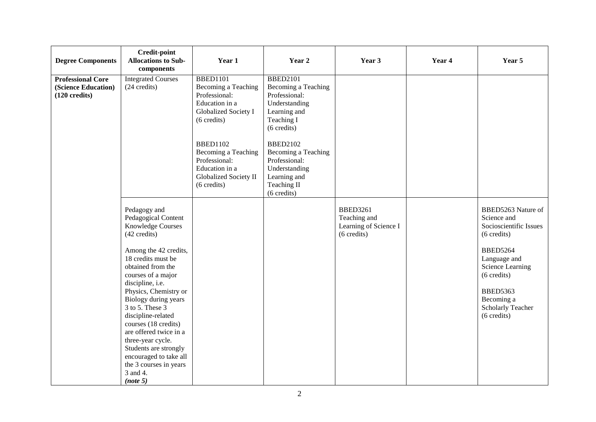| <b>Degree Components</b>                                                   | <b>Credit-point</b><br><b>Allocations to Sub-</b><br>components                                                                                                                                                                                                                                                                                                                                                                                                     | Year 1                                                                                                                                                                                                                                                           | Year 2                                                                                                                                                                                                                                          | Year 3                                                                  | Year 4 | Year 5                                                                                                                                                                                                                                                     |
|----------------------------------------------------------------------------|---------------------------------------------------------------------------------------------------------------------------------------------------------------------------------------------------------------------------------------------------------------------------------------------------------------------------------------------------------------------------------------------------------------------------------------------------------------------|------------------------------------------------------------------------------------------------------------------------------------------------------------------------------------------------------------------------------------------------------------------|-------------------------------------------------------------------------------------------------------------------------------------------------------------------------------------------------------------------------------------------------|-------------------------------------------------------------------------|--------|------------------------------------------------------------------------------------------------------------------------------------------------------------------------------------------------------------------------------------------------------------|
| <b>Professional Core</b><br>(Science Education)<br>$(120 \text{ credits})$ | <b>Integrated Courses</b><br>(24 credits)                                                                                                                                                                                                                                                                                                                                                                                                                           | <b>BBED1101</b><br>Becoming a Teaching<br>Professional:<br>Education in a<br>Globalized Society I<br>$(6 \text{ credits})$<br><b>BBED1102</b><br>Becoming a Teaching<br>Professional:<br>Education in a<br><b>Globalized Society II</b><br>$(6 \text{ credits})$ | <b>BBED2101</b><br>Becoming a Teaching<br>Professional:<br>Understanding<br>Learning and<br>Teaching I<br>(6 credits)<br><b>BBED2102</b><br>Becoming a Teaching<br>Professional:<br>Understanding<br>Learning and<br>Teaching II<br>(6 credits) |                                                                         |        |                                                                                                                                                                                                                                                            |
|                                                                            | Pedagogy and<br>Pedagogical Content<br><b>Knowledge Courses</b><br>(42 credits)<br>Among the 42 credits,<br>18 credits must be<br>obtained from the<br>courses of a major<br>discipline, i.e.<br>Physics, Chemistry or<br>Biology during years<br>3 to 5. These 3<br>discipline-related<br>courses (18 credits)<br>are offered twice in a<br>three-year cycle.<br>Students are strongly<br>encouraged to take all<br>the 3 courses in years<br>3 and 4.<br>(note 5) |                                                                                                                                                                                                                                                                  |                                                                                                                                                                                                                                                 | <b>BBED3261</b><br>Teaching and<br>Learning of Science I<br>(6 credits) |        | BBED5263 Nature of<br>Science and<br>Socioscientific Issues<br>$(6 \text{ credits})$<br><b>BBED5264</b><br>Language and<br>Science Learning<br>$(6 \text{ credits})$<br><b>BBED5363</b><br>Becoming a<br><b>Scholarly Teacher</b><br>$(6 \text{ credits})$ |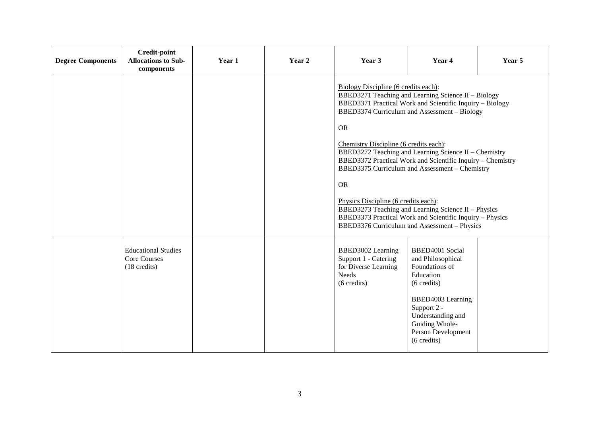| <b>Degree Components</b> | Credit-point<br><b>Allocations to Sub-</b><br>components                    | Year 1 | Year 2 | Year 3                                                                                                                                                                                                                                                                                                                                                                                                                                                                                                                                                                                                                                                          | Year 4                                                                                                                                                                                             | Year 5 |
|--------------------------|-----------------------------------------------------------------------------|--------|--------|-----------------------------------------------------------------------------------------------------------------------------------------------------------------------------------------------------------------------------------------------------------------------------------------------------------------------------------------------------------------------------------------------------------------------------------------------------------------------------------------------------------------------------------------------------------------------------------------------------------------------------------------------------------------|----------------------------------------------------------------------------------------------------------------------------------------------------------------------------------------------------|--------|
|                          |                                                                             |        |        | Biology Discipline (6 credits each):<br>BBED3271 Teaching and Learning Science II - Biology<br>BBED3371 Practical Work and Scientific Inquiry - Biology<br>BBED3374 Curriculum and Assessment - Biology<br><b>OR</b><br>Chemistry Discipline (6 credits each):<br>BBED3272 Teaching and Learning Science II - Chemistry<br>BBED3372 Practical Work and Scientific Inquiry - Chemistry<br>BBED3375 Curriculum and Assessment - Chemistry<br><b>OR</b><br>Physics Discipline (6 credits each):<br>BBED3273 Teaching and Learning Science II - Physics<br>BBED3373 Practical Work and Scientific Inquiry - Physics<br>BBED3376 Curriculum and Assessment - Physics |                                                                                                                                                                                                    |        |
|                          | <b>Educational Studies</b><br><b>Core Courses</b><br>$(18 \text{ credits})$ |        |        | BBED3002 Learning<br>Support 1 - Catering<br>for Diverse Learning<br>Needs<br>(6 credits)                                                                                                                                                                                                                                                                                                                                                                                                                                                                                                                                                                       | BBED4001 Social<br>and Philosophical<br>Foundations of<br>Education<br>(6 credits)<br>BBED4003 Learning<br>Support 2 -<br>Understanding and<br>Guiding Whole-<br>Person Development<br>(6 credits) |        |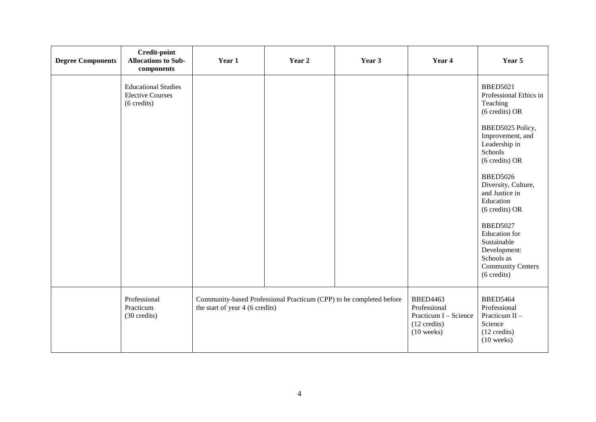| <b>Degree Components</b> | <b>Credit-point</b><br><b>Allocations to Sub-</b><br>components      | Year 1                                                                                                 | Year 2 | Year 3 | Year 4                                                                                             | Year 5                                                                                                                                                                                                                                                                                                                                                                                                |
|--------------------------|----------------------------------------------------------------------|--------------------------------------------------------------------------------------------------------|--------|--------|----------------------------------------------------------------------------------------------------|-------------------------------------------------------------------------------------------------------------------------------------------------------------------------------------------------------------------------------------------------------------------------------------------------------------------------------------------------------------------------------------------------------|
|                          | <b>Educational Studies</b><br><b>Elective Courses</b><br>(6 credits) |                                                                                                        |        |        |                                                                                                    | <b>BBED5021</b><br>Professional Ethics in<br>Teaching<br>(6 credits) OR<br>BBED5025 Policy,<br>Improvement, and<br>Leadership in<br>Schools<br>(6 credits) OR<br><b>BBED5026</b><br>Diversity, Culture,<br>and Justice in<br>Education<br>(6 credits) OR<br><b>BBED5027</b><br><b>Education</b> for<br>Sustainable<br>Development:<br>Schools as<br><b>Community Centers</b><br>$(6 \text{ credits})$ |
|                          | Professional<br>Practicum<br>(30 credits)                            | Community-based Professional Practicum (CPP) to be completed before<br>the start of year 4 (6 credits) |        |        | <b>BBED4463</b><br>Professional<br>Practicum I - Science<br>$(12 \text{ credits})$<br>$(10$ weeks) | <b>BBED5464</b><br>Professional<br>Practicum II -<br>Science<br>$(12 \text{ credits})$<br>$(10$ weeks)                                                                                                                                                                                                                                                                                                |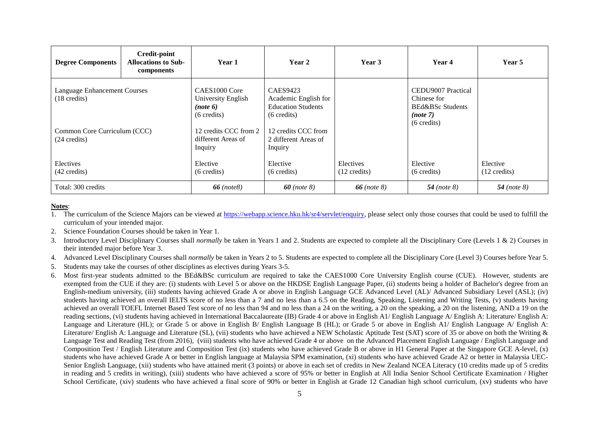| <b>Degree Components</b>                                                                      | Credit-point<br><b>Allocations to Sub-</b><br>components | <b>Year 1</b>                                                                                     | Year 2                                                                                                               | Year 3                              | Year 4                                                                           | Year 5                             |
|-----------------------------------------------------------------------------------------------|----------------------------------------------------------|---------------------------------------------------------------------------------------------------|----------------------------------------------------------------------------------------------------------------------|-------------------------------------|----------------------------------------------------------------------------------|------------------------------------|
| <b>Language Enhancement Courses</b><br>$(18 \text{ credits})$<br>Common Core Curriculum (CCC) |                                                          | CAES1000 Core<br>University English<br>(note 6)<br>$(6 \text{ credits})$<br>12 credits CCC from 2 | <b>CAES9423</b><br>Academic English for<br><b>Education Students</b><br>$(6 \text{ credits})$<br>12 credits CCC from |                                     | CEDU9007 Practical<br>Chinese for<br>BEd&BSc Students<br>(note 7)<br>(6 credits) |                                    |
| $(24 \text{ credits})$<br>Electives<br>$(42 \text{ credits})$                                 |                                                          | different Areas of<br>Inquiry<br>Elective<br>$(6 \text{ credits})$                                | 2 different Areas of<br>Inquiry<br>Elective<br>(6 credits)                                                           | Electives<br>$(12 \text{ credits})$ | Elective<br>$(6 \text{ credits})$                                                | Elective<br>$(12 \text{ credits})$ |
| Total: 300 credits                                                                            |                                                          | $66$ (note8)                                                                                      | $60$ (note 8)                                                                                                        | 66 ( <i>note 8</i> )                | $54$ (note 8)                                                                    | 54 (note $8$ )                     |

## **Notes**:

- 1. The curriculum of the Science Majors can be viewed at [https://webapp.science.hku.hk/sr4/servlet/enquiry,](https://webapp.science.hku.hk/sr4/servlet/enquiry) please select only those courses that could be used to fulfill the curriculum of your intended major.
- 2. Science Foundation Courses should be taken in Year 1.
- 3. Introductory Level Disciplinary Courses shall *normally* be taken in Years 1 and 2. Students are expected to complete all the Disciplinary Core (Levels 1 & 2) Courses in their intended major before Year 3.
- 4. Advanced Level Disciplinary Courses shall *normally* be taken in Years 2 to 5. Students are expected to complete all the Disciplinary Core (Level 3) Courses before Year 5.
- 5. Students may take the courses of other disciplines as electives during Years 3-5.
- 6. Most first-year students admitted to the BEd&BSc curriculum are required to take the CAES1000 Core University English course (CUE). However, students are exempted from the CUE if they are: (i) students with Level 5 or above on the HKDSE English Language Paper, (ii) students being a holder of Bachelor's degree from an English-medium university, (iii) students having achieved Grade A or above in English Language GCE Advanced Level (AL)/ Advanced Subsidiary Level (ASL); (iv) students having achieved an overall IELTS score of no less than a 7 and no less than a 6.5 on the Reading, Speaking, Listening and Writing Tests, (v) students having achieved an overall TOEFL Internet Based Test score of no less than 94 and no less than a 24 on the writing, a 20 on the speaking, a 20 on the listening, AND a 19 on the reading sections, (vi) students having achieved in International Baccalaureate (IB) Grade 4 or above in English A1/ English A1/ English Language A/ English A: Literature/ English A: Language and Literature (HL); or Grade 5 or above in English B/ English Language B (HL); or Grade 5 or above in English A1/ English Language A/ English A: Literature/ English A: Language and Literature (SL), (vii) students who have achieved a NEW Scholastic Aptitude Test (SAT) score of 35 or above on both the Writing & Language Test and Reading Test (from 2016), (viii) students who have achieved Grade 4 or above on the Advanced Placement English Language / English Language and Composition Test / English Literature and Composition Test (ix) students who have achieved Grade B or above in H1 General Paper at the Singapore GCE A-level, (x) students who have achieved Grade A or better in English language at Malaysia SPM examination, (xi) students who have achieved Grade A2 or better in Malaysia UEC-Senior English Language, (xii) students who have attained merit (3 points) or above in each set of credits in New Zealand NCEA Literacy (10 credits made up of 5 credits in reading and 5 credits in writing), (xiii) students who have achieved a score of 95% or better in English at All India Senior School Certificate Examination / Higher School Certificate, (xiv) students who have achieved a final score of 90% or better in English at Grade 12 Canadian high school curriculum, (xv) students who have